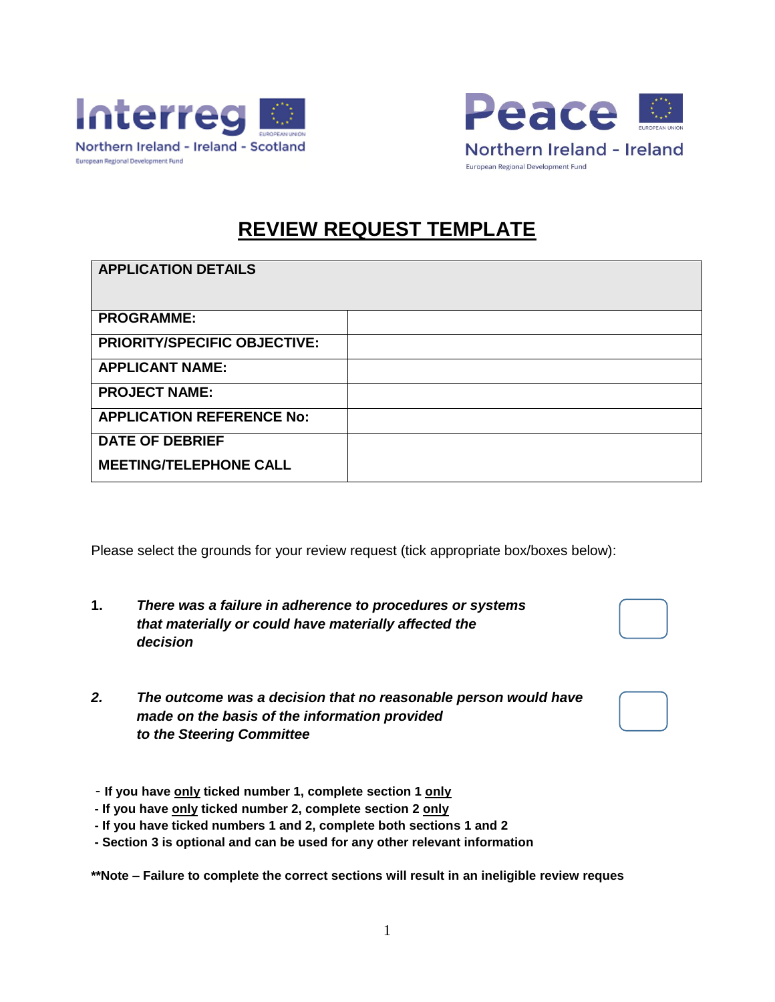



## **REVIEW REQUEST TEMPLATE**

| <b>APPLICATION DETAILS</b>          |  |
|-------------------------------------|--|
| <b>PROGRAMME:</b>                   |  |
| <b>PRIORITY/SPECIFIC OBJECTIVE:</b> |  |
| <b>APPLICANT NAME:</b>              |  |
| <b>PROJECT NAME:</b>                |  |
| <b>APPLICATION REFERENCE No:</b>    |  |
| <b>DATE OF DEBRIEF</b>              |  |
| <b>MEETING/TELEPHONE CALL</b>       |  |

Please select the grounds for your review request (tick appropriate box/boxes below):

| There was a failure in adherence to procedures or systems |
|-----------------------------------------------------------|
| that materially or could have materially affected the     |
| decision                                                  |

*2. The outcome was a decision that no reasonable person would have made on the basis of the information provided to the Steering Committee*

| - If you have only ticked number 1, complete section 1 only |  |  |
|-------------------------------------------------------------|--|--|
|-------------------------------------------------------------|--|--|

- **- If you have only ticked number 2, complete section 2 only**
- **- If you have ticked numbers 1 and 2, complete both sections 1 and 2**

**- Section 3 is optional and can be used for any other relevant information**

**\*\*Note – Failure to complete the correct sections will result in an ineligible review reques**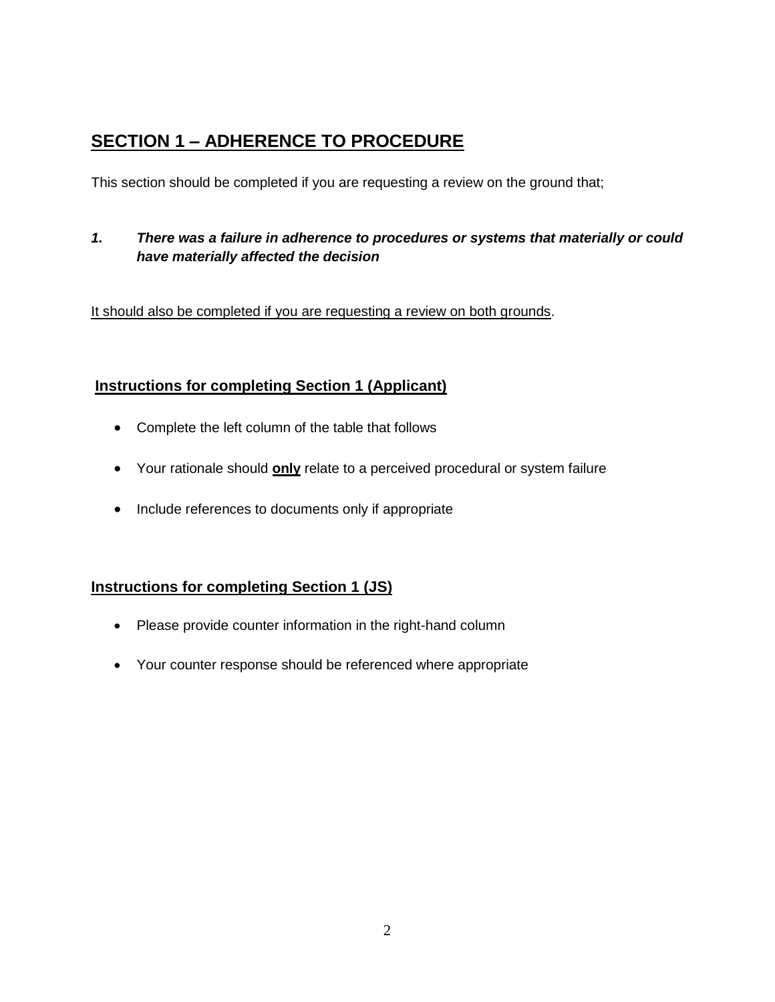## **SECTION 1 – ADHERENCE TO PROCEDURE**

This section should be completed if you are requesting a review on the ground that;

#### *1. There was a failure in adherence to procedures or systems that materially or could have materially affected the decision*

It should also be completed if you are requesting a review on both grounds.

### **Instructions for completing Section 1 (Applicant)**

- Complete the left column of the table that follows
- Your rationale should **only** relate to a perceived procedural or system failure
- Include references to documents only if appropriate

### **Instructions for completing Section 1 (JS)**

- Please provide counter information in the right-hand column
- Your counter response should be referenced where appropriate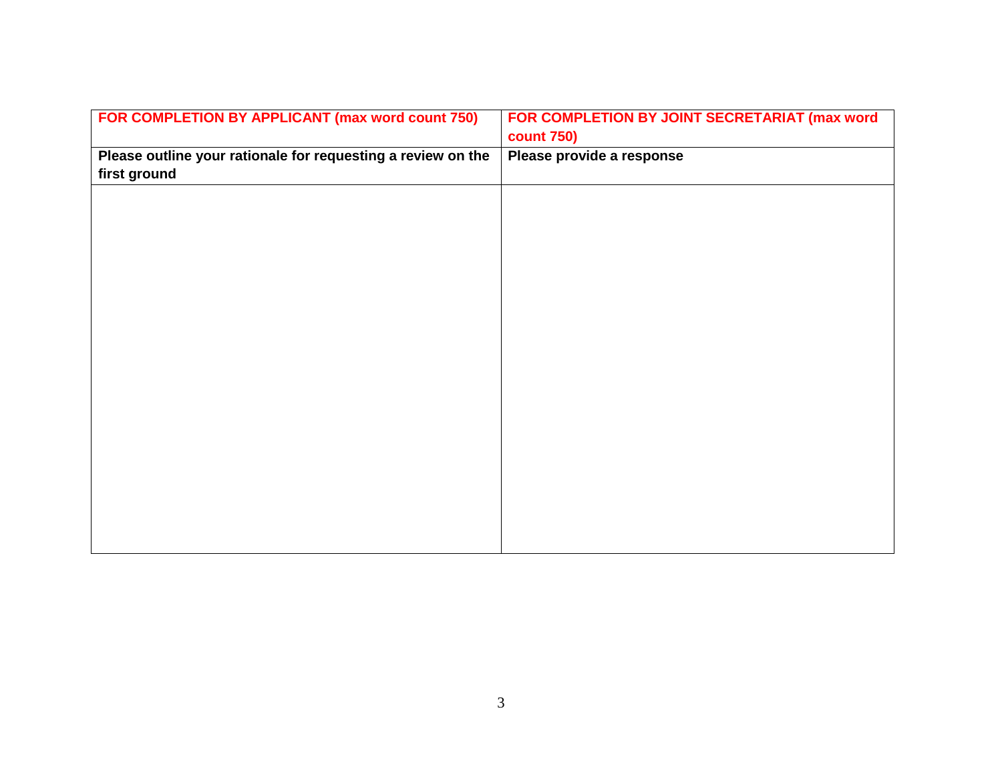| FOR COMPLETION BY APPLICANT (max word count 750)             | FOR COMPLETION BY JOINT SECRETARIAT (max word |
|--------------------------------------------------------------|-----------------------------------------------|
|                                                              | <b>count 750)</b>                             |
| Please outline your rationale for requesting a review on the | Please provide a response                     |
| first ground                                                 |                                               |
|                                                              |                                               |
|                                                              |                                               |
|                                                              |                                               |
|                                                              |                                               |
|                                                              |                                               |
|                                                              |                                               |
|                                                              |                                               |
|                                                              |                                               |
|                                                              |                                               |
|                                                              |                                               |
|                                                              |                                               |
|                                                              |                                               |
|                                                              |                                               |
|                                                              |                                               |
|                                                              |                                               |
|                                                              |                                               |
|                                                              |                                               |
|                                                              |                                               |
|                                                              |                                               |
|                                                              |                                               |
|                                                              |                                               |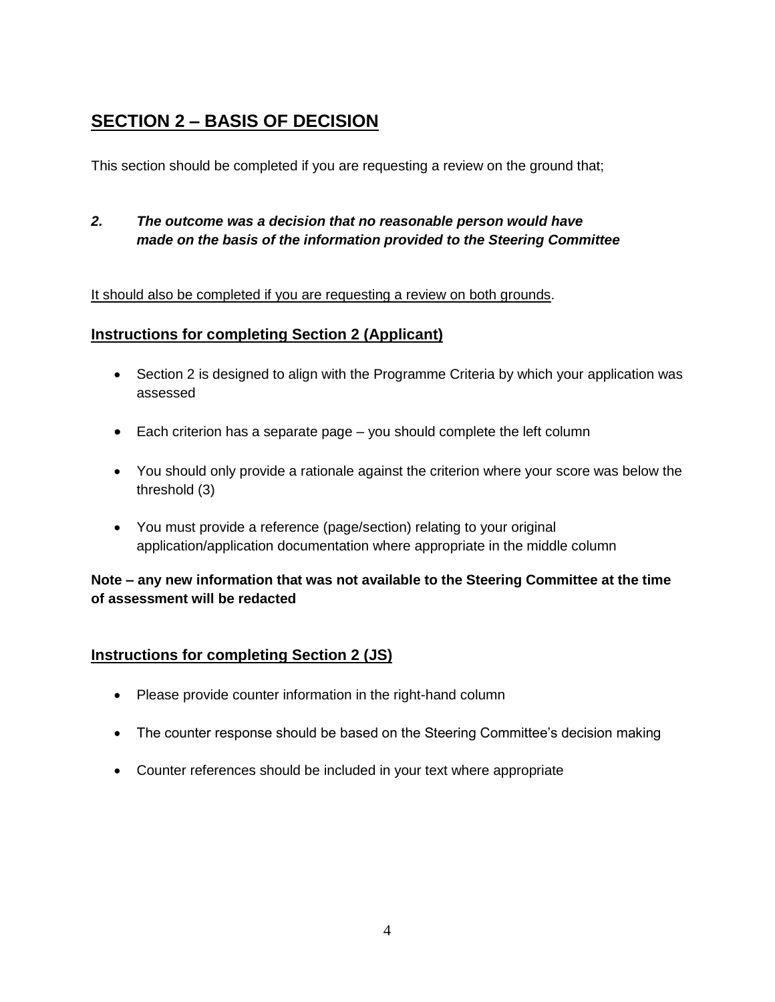## **SECTION 2 – BASIS OF DECISION**

This section should be completed if you are requesting a review on the ground that;

*2. The outcome was a decision that no reasonable person would have made on the basis of the information provided to the Steering Committee*

#### It should also be completed if you are requesting a review on both grounds.

#### **Instructions for completing Section 2 (Applicant)**

- Section 2 is designed to align with the Programme Criteria by which your application was assessed
- Each criterion has a separate page you should complete the left column
- You should only provide a rationale against the criterion where your score was below the threshold (3)
- You must provide a reference (page/section) relating to your original application/application documentation where appropriate in the middle column

**Note – any new information that was not available to the Steering Committee at the time of assessment will be redacted**

#### **Instructions for completing Section 2 (JS)**

- Please provide counter information in the right-hand column
- The counter response should be based on the Steering Committee's decision making
- Counter references should be included in your text where appropriate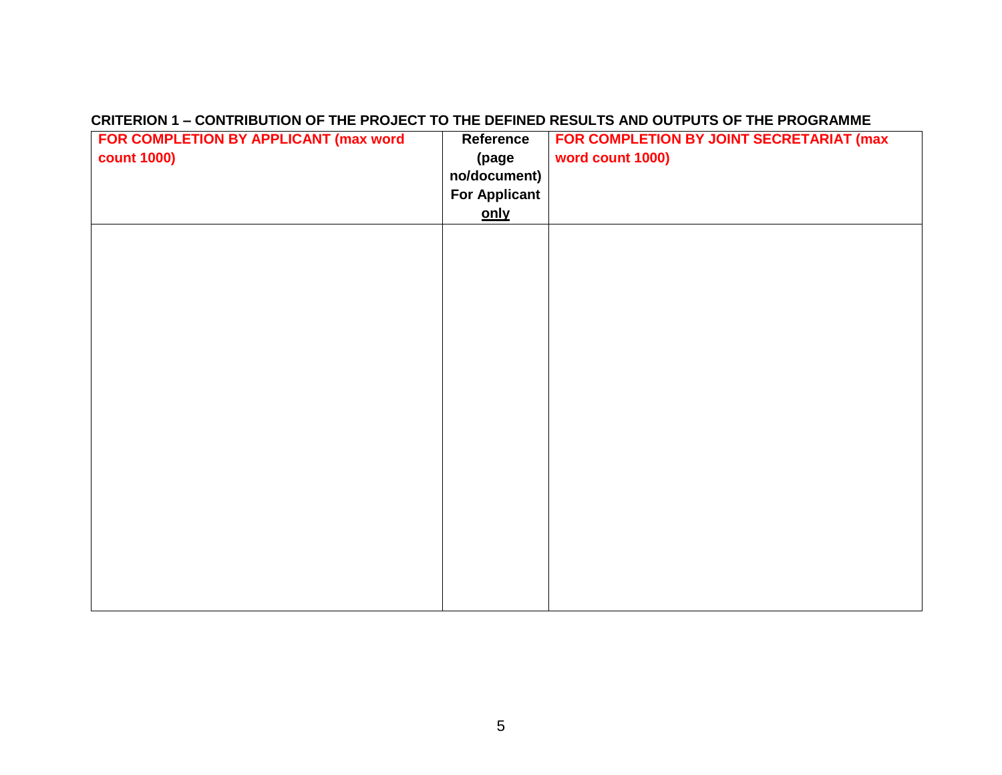#### **CRITERION 1 – CONTRIBUTION OF THE PROJECT TO THE DEFINED RESULTS AND OUTPUTS OF THE PROGRAMME**

| FOR COMPLETION BY APPLICANT (max word | Reference            | FOR COMPLETION BY JOINT SECRETARIAT (max |
|---------------------------------------|----------------------|------------------------------------------|
| <b>count 1000)</b>                    | (page                | word count 1000)                         |
|                                       | no/document)         |                                          |
|                                       | <b>For Applicant</b> |                                          |
|                                       | only                 |                                          |
|                                       |                      |                                          |
|                                       |                      |                                          |
|                                       |                      |                                          |
|                                       |                      |                                          |
|                                       |                      |                                          |
|                                       |                      |                                          |
|                                       |                      |                                          |
|                                       |                      |                                          |
|                                       |                      |                                          |
|                                       |                      |                                          |
|                                       |                      |                                          |
|                                       |                      |                                          |
|                                       |                      |                                          |
|                                       |                      |                                          |
|                                       |                      |                                          |
|                                       |                      |                                          |
|                                       |                      |                                          |
|                                       |                      |                                          |
|                                       |                      |                                          |
|                                       |                      |                                          |
|                                       |                      |                                          |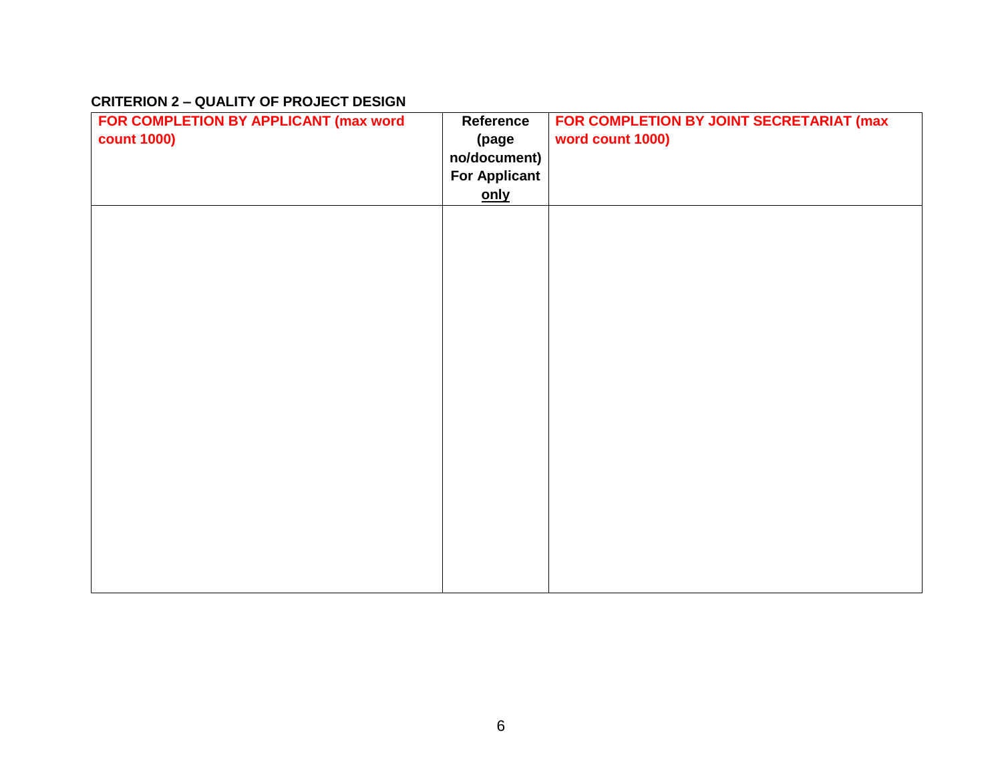#### **CRITERION 2 – QUALITY OF PROJECT DESIGN**

| FOR COMPLETION BY APPLICANT (max word | Reference            | FOR COMPLETION BY JOINT SECRETARIAT (max |
|---------------------------------------|----------------------|------------------------------------------|
| <b>count 1000)</b>                    | (page                | word count 1000)                         |
|                                       | no/document)         |                                          |
|                                       | <b>For Applicant</b> |                                          |
|                                       | <u>only</u>          |                                          |
|                                       |                      |                                          |
|                                       |                      |                                          |
|                                       |                      |                                          |
|                                       |                      |                                          |
|                                       |                      |                                          |
|                                       |                      |                                          |
|                                       |                      |                                          |
|                                       |                      |                                          |
|                                       |                      |                                          |
|                                       |                      |                                          |
|                                       |                      |                                          |
|                                       |                      |                                          |
|                                       |                      |                                          |
|                                       |                      |                                          |
|                                       |                      |                                          |
|                                       |                      |                                          |
|                                       |                      |                                          |
|                                       |                      |                                          |
|                                       |                      |                                          |
|                                       |                      |                                          |
|                                       |                      |                                          |
|                                       |                      |                                          |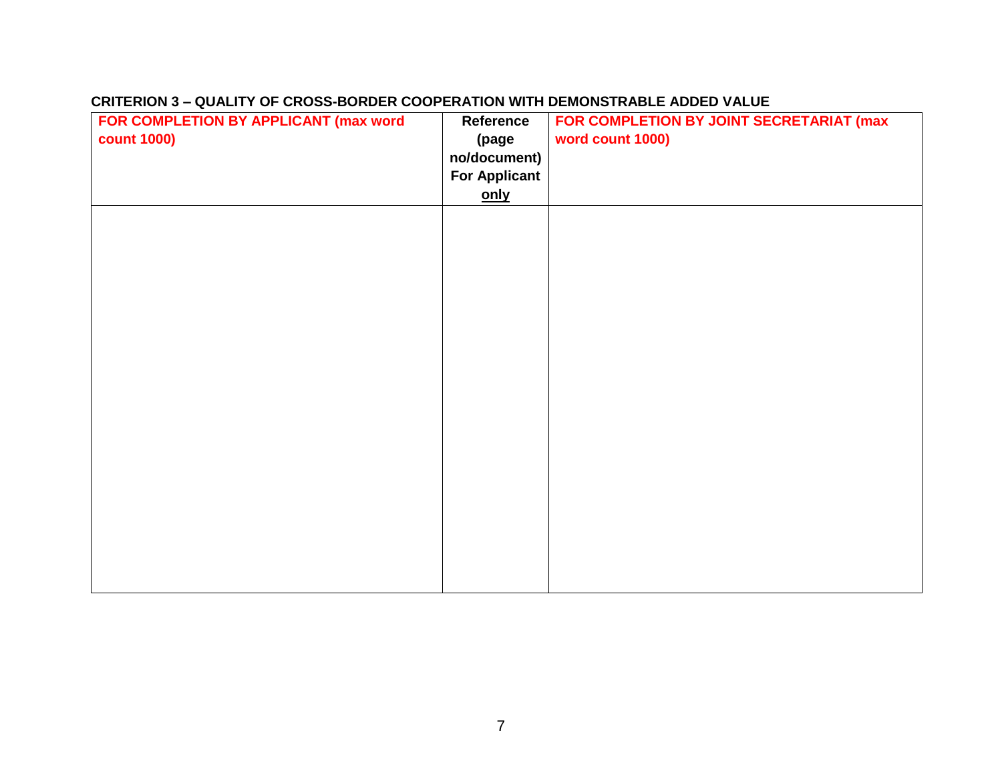| FOR COMPLETION BY APPLICANT (max word | Reference            | FOR COMPLETION BY JOINT SECRETARIAT (max |
|---------------------------------------|----------------------|------------------------------------------|
| <b>count 1000)</b>                    | (page                | word count 1000)                         |
|                                       | no/document)         |                                          |
|                                       | <b>For Applicant</b> |                                          |
|                                       | <u>only</u>          |                                          |
|                                       |                      |                                          |
|                                       |                      |                                          |
|                                       |                      |                                          |
|                                       |                      |                                          |
|                                       |                      |                                          |
|                                       |                      |                                          |
|                                       |                      |                                          |
|                                       |                      |                                          |
|                                       |                      |                                          |
|                                       |                      |                                          |
|                                       |                      |                                          |
|                                       |                      |                                          |
|                                       |                      |                                          |
|                                       |                      |                                          |
|                                       |                      |                                          |
|                                       |                      |                                          |
|                                       |                      |                                          |
|                                       |                      |                                          |
|                                       |                      |                                          |
|                                       |                      |                                          |
|                                       |                      |                                          |

#### **CRITERION 3 – QUALITY OF CROSS-BORDER COOPERATION WITH DEMONSTRABLE ADDED VALUE**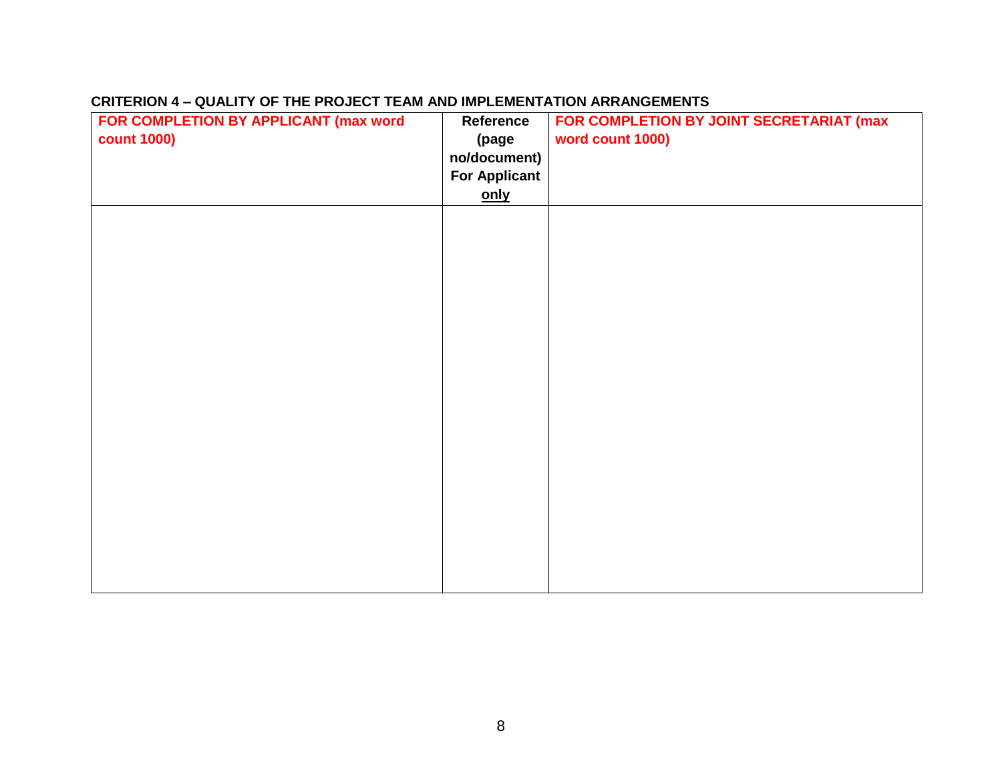| FOR COMPLETION BY APPLICANT (max word | Reference            | FOR COMPLETION BY JOINT SECRETARIAT (max |
|---------------------------------------|----------------------|------------------------------------------|
| <b>count 1000)</b>                    | (page                | word count 1000)                         |
|                                       | no/document)         |                                          |
|                                       | <b>For Applicant</b> |                                          |
|                                       | only                 |                                          |
|                                       |                      |                                          |
|                                       |                      |                                          |
|                                       |                      |                                          |
|                                       |                      |                                          |
|                                       |                      |                                          |
|                                       |                      |                                          |
|                                       |                      |                                          |
|                                       |                      |                                          |
|                                       |                      |                                          |
|                                       |                      |                                          |
|                                       |                      |                                          |
|                                       |                      |                                          |
|                                       |                      |                                          |
|                                       |                      |                                          |
|                                       |                      |                                          |
|                                       |                      |                                          |
|                                       |                      |                                          |
|                                       |                      |                                          |
|                                       |                      |                                          |
|                                       |                      |                                          |
|                                       |                      |                                          |
|                                       |                      |                                          |
|                                       |                      |                                          |

### **CRITERION 4 – QUALITY OF THE PROJECT TEAM AND IMPLEMENTATION ARRANGEMENTS**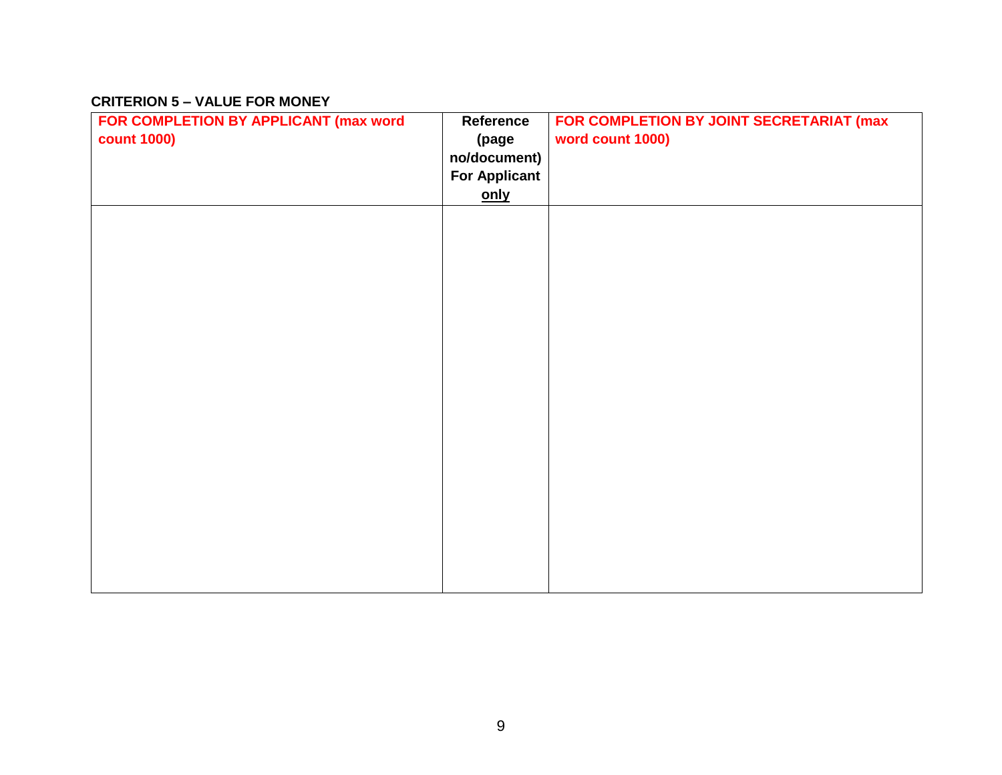#### **CRITERION 5 – VALUE FOR MONEY**

| FOR COMPLETION BY APPLICANT (max word | Reference            | FOR COMPLETION BY JOINT SECRETARIAT (max |
|---------------------------------------|----------------------|------------------------------------------|
| <b>count 1000)</b>                    | (page                | word count 1000)                         |
|                                       | no/document)         |                                          |
|                                       | <b>For Applicant</b> |                                          |
|                                       | only                 |                                          |
|                                       |                      |                                          |
|                                       |                      |                                          |
|                                       |                      |                                          |
|                                       |                      |                                          |
|                                       |                      |                                          |
|                                       |                      |                                          |
|                                       |                      |                                          |
|                                       |                      |                                          |
|                                       |                      |                                          |
|                                       |                      |                                          |
|                                       |                      |                                          |
|                                       |                      |                                          |
|                                       |                      |                                          |
|                                       |                      |                                          |
|                                       |                      |                                          |
|                                       |                      |                                          |
|                                       |                      |                                          |
|                                       |                      |                                          |
|                                       |                      |                                          |
|                                       |                      |                                          |
|                                       |                      |                                          |
|                                       |                      |                                          |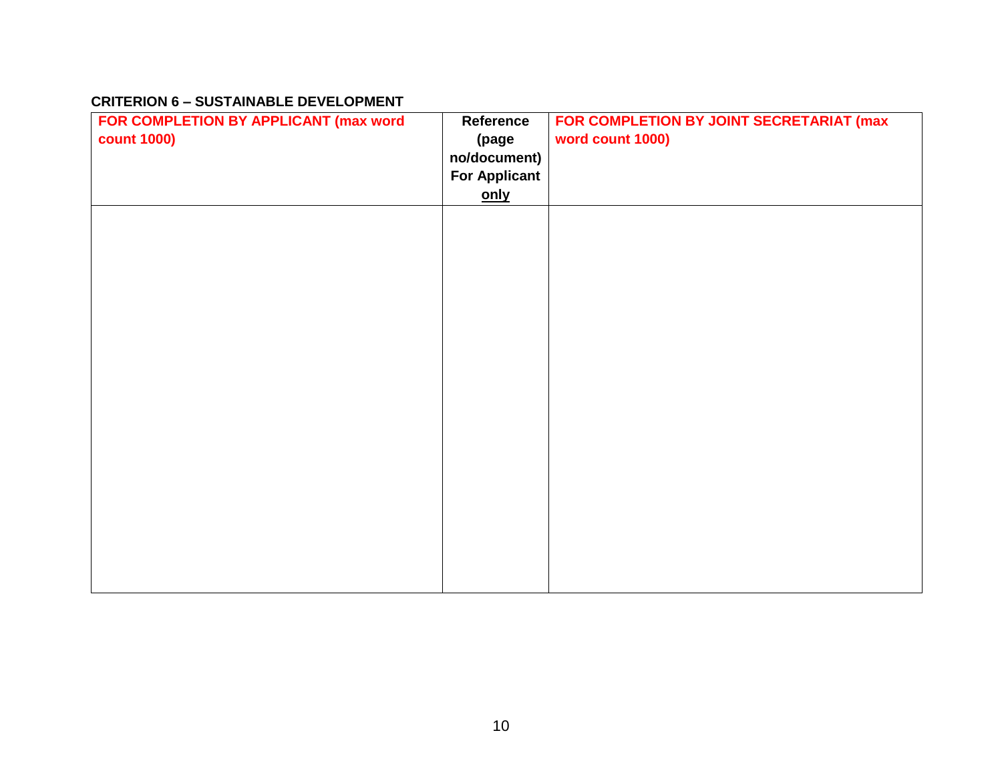#### **CRITERION 6 – SUSTAINABLE DEVELOPMENT**

| FOR COMPLETION BY APPLICANT (max word | Reference            | FOR COMPLETION BY JOINT SECRETARIAT (max |
|---------------------------------------|----------------------|------------------------------------------|
| <b>count 1000)</b>                    | (page                | word count 1000)                         |
|                                       | no/document)         |                                          |
|                                       | <b>For Applicant</b> |                                          |
|                                       | <u>only</u>          |                                          |
|                                       |                      |                                          |
|                                       |                      |                                          |
|                                       |                      |                                          |
|                                       |                      |                                          |
|                                       |                      |                                          |
|                                       |                      |                                          |
|                                       |                      |                                          |
|                                       |                      |                                          |
|                                       |                      |                                          |
|                                       |                      |                                          |
|                                       |                      |                                          |
|                                       |                      |                                          |
|                                       |                      |                                          |
|                                       |                      |                                          |
|                                       |                      |                                          |
|                                       |                      |                                          |
|                                       |                      |                                          |
|                                       |                      |                                          |
|                                       |                      |                                          |
|                                       |                      |                                          |
|                                       |                      |                                          |
|                                       |                      |                                          |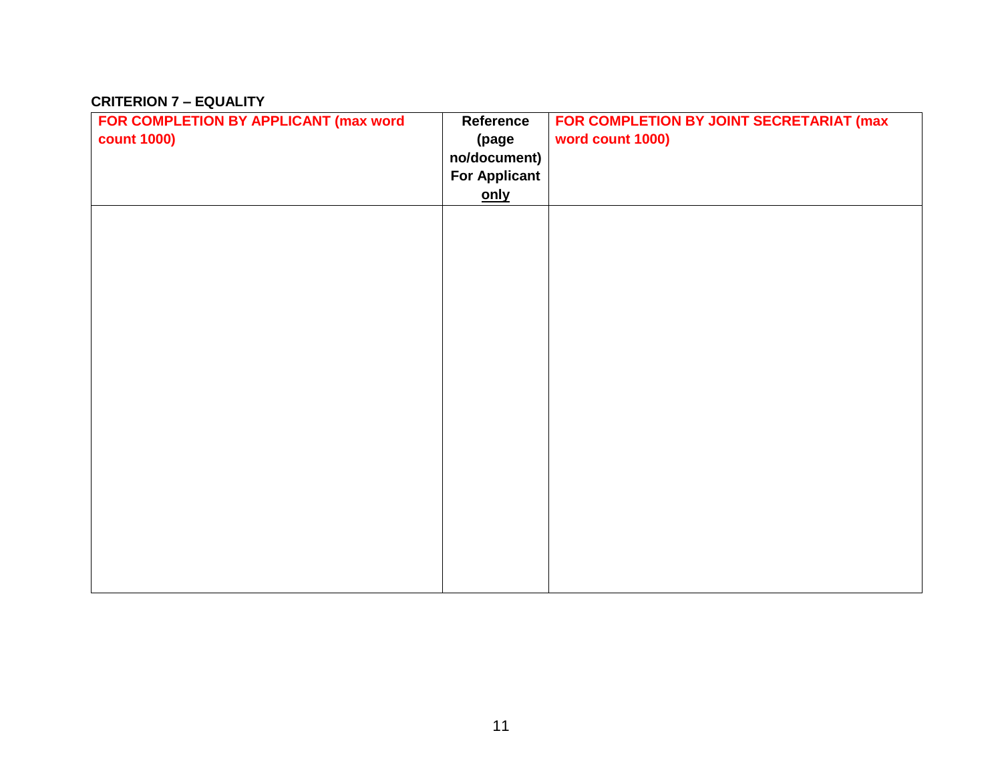#### **CRITERION 7 – EQUALITY**

| FOR COMPLETION BY APPLICANT (max word | Reference            | FOR COMPLETION BY JOINT SECRETARIAT (max |
|---------------------------------------|----------------------|------------------------------------------|
| <b>count 1000)</b>                    | (page                | word count 1000)                         |
|                                       | no/document)         |                                          |
|                                       | <b>For Applicant</b> |                                          |
|                                       | only                 |                                          |
|                                       |                      |                                          |
|                                       |                      |                                          |
|                                       |                      |                                          |
|                                       |                      |                                          |
|                                       |                      |                                          |
|                                       |                      |                                          |
|                                       |                      |                                          |
|                                       |                      |                                          |
|                                       |                      |                                          |
|                                       |                      |                                          |
|                                       |                      |                                          |
|                                       |                      |                                          |
|                                       |                      |                                          |
|                                       |                      |                                          |
|                                       |                      |                                          |
|                                       |                      |                                          |
|                                       |                      |                                          |
|                                       |                      |                                          |
|                                       |                      |                                          |
|                                       |                      |                                          |
|                                       |                      |                                          |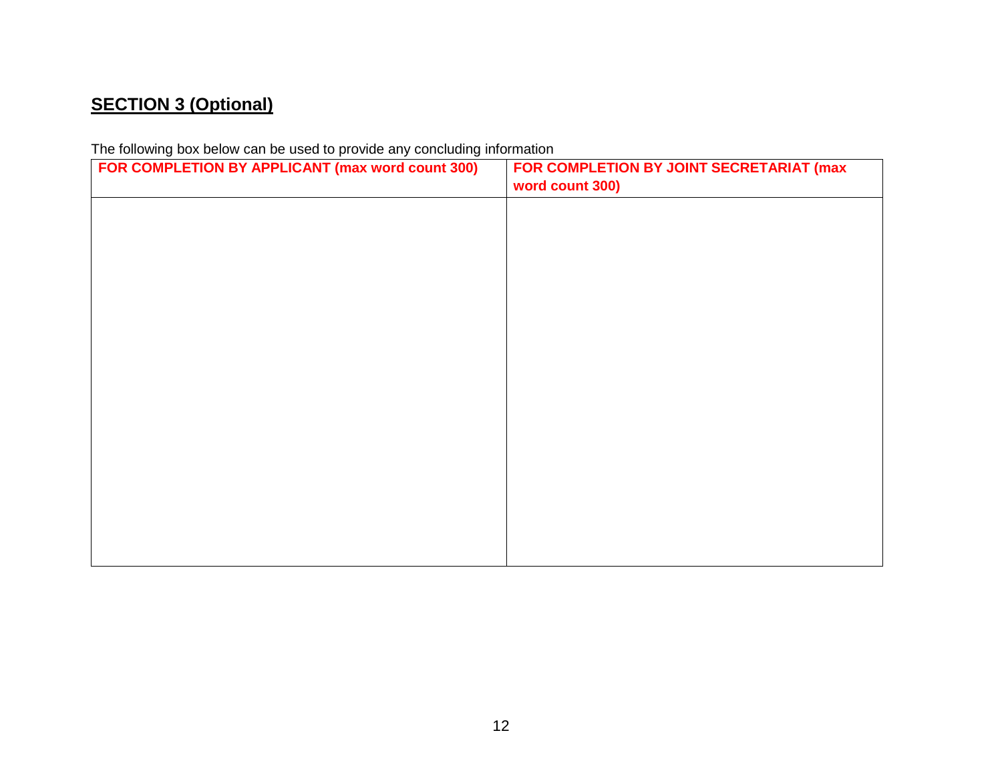# **SECTION 3 (Optional)**

The following box below can be used to provide any concluding information

| FOR COMPLETION BY APPLICANT (max word count 300) | FOR COMPLETION BY JOINT SECRETARIAT (max<br>word count 300) |
|--------------------------------------------------|-------------------------------------------------------------|
|                                                  |                                                             |
|                                                  |                                                             |
|                                                  |                                                             |
|                                                  |                                                             |
|                                                  |                                                             |
|                                                  |                                                             |
|                                                  |                                                             |
|                                                  |                                                             |
|                                                  |                                                             |
|                                                  |                                                             |